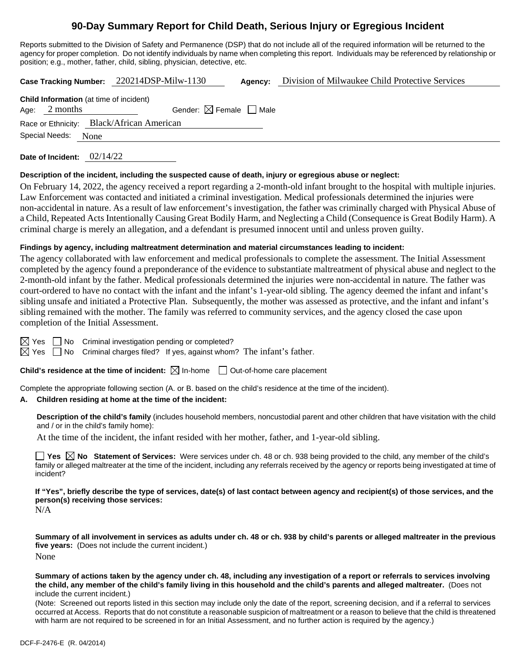# **90-Day Summary Report for Child Death, Serious Injury or Egregious Incident**

Reports submitted to the Division of Safety and Permanence (DSP) that do not include all of the required information will be returned to the agency for proper completion. Do not identify individuals by name when completing this report. Individuals may be referenced by relationship or position; e.g., mother, father, child, sibling, physician, detective, etc.

**Case Tracking Number:** 220214DSP-Milw-1130 **Agency:** Division of Milwaukee Child Protective Services

| <b>Child Information</b> (at time of incident) |                 |                                        |  |  |  |
|------------------------------------------------|-----------------|----------------------------------------|--|--|--|
|                                                | Age: $2$ months | Gender: $\boxtimes$ Female $\Box$ Male |  |  |  |
| Race or Ethnicity: Black/African American      |                 |                                        |  |  |  |
| Special Needs: None                            |                 |                                        |  |  |  |

**Date of Incident:** 02/14/22

#### **Description of the incident, including the suspected cause of death, injury or egregious abuse or neglect:**

On February 14, 2022, the agency received a report regarding a 2-month-old infant brought to the hospital with multiple injuries. Law Enforcement was contacted and initiated a criminal investigation. Medical professionals determined the injuries were non-accidental in nature. As a result of law enforcement's investigation, the father was criminally charged with Physical Abuse of a Child, Repeated Acts Intentionally Causing Great Bodily Harm, and Neglecting a Child (Consequence is Great Bodily Harm). A criminal charge is merely an allegation, and a defendant is presumed innocent until and unless proven guilty.

#### **Findings by agency, including maltreatment determination and material circumstances leading to incident:**

The agency collaborated with law enforcement and medical professionals to complete the assessment. The Initial Assessment completed by the agency found a preponderance of the evidence to substantiate maltreatment of physical abuse and neglect to the 2-month-old infant by the father. Medical professionals determined the injuries were non-accidental in nature. The father was court-ordered to have no contact with the infant and the infant's 1-year-old sibling. The agency deemed the infant and infant's sibling unsafe and initiated a Protective Plan. Subsequently, the mother was assessed as protective, and the infant and infant's sibling remained with the mother. The family was referred to community services, and the agency closed the case upon completion of the Initial Assessment.

 $\boxtimes$  Yes  $\Box$  No Criminal investigation pending or completed?

 $\boxtimes$  Yes  $\Box$  No Criminal charges filed? If yes, against whom? The infant's father.

**Child's residence at the time of incident:**  $\boxtimes$  In-home  $\Box$  Out-of-home care placement

Complete the appropriate following section (A. or B. based on the child's residence at the time of the incident).

#### **A. Children residing at home at the time of the incident:**

**Description of the child's family** (includes household members, noncustodial parent and other children that have visitation with the child and / or in the child's family home):

At the time of the incident, the infant resided with her mother, father, and 1-year-old sibling.

**Yes**  $\boxtimes$  **No** Statement of Services: Were services under ch. 48 or ch. 938 being provided to the child, any member of the child's family or alleged maltreater at the time of the incident, including any referrals received by the agency or reports being investigated at time of incident?

**If "Yes", briefly describe the type of services, date(s) of last contact between agency and recipient(s) of those services, and the person(s) receiving those services:**

N/A

**Summary of all involvement in services as adults under ch. 48 or ch. 938 by child's parents or alleged maltreater in the previous five years:** (Does not include the current incident.) None

**Summary of actions taken by the agency under ch. 48, including any investigation of a report or referrals to services involving the child, any member of the child's family living in this household and the child's parents and alleged maltreater.** (Does not include the current incident.)

(Note: Screened out reports listed in this section may include only the date of the report, screening decision, and if a referral to services occurred at Access. Reports that do not constitute a reasonable suspicion of maltreatment or a reason to believe that the child is threatened with harm are not required to be screened in for an Initial Assessment, and no further action is required by the agency.)